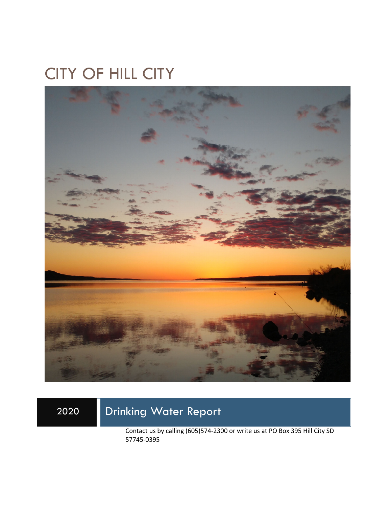## CITY OF HILL CITY



## 2020 Drinking Water Report

Contact us by calling (605)574-2300 or write us at PO Box 395 Hill City SD 57745-0395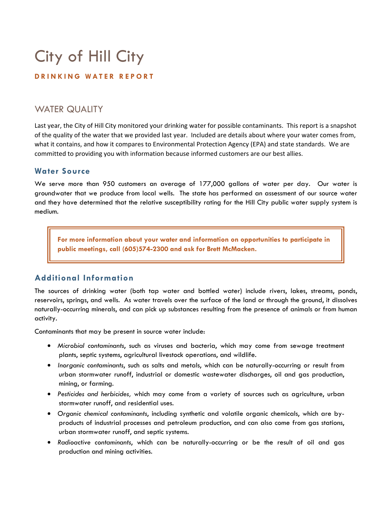# City of Hill City

#### **DRINKING WATER REPORT**

### WATER QUALITY

Last year, the City of Hill City monitored your drinking water for possible contaminants. This report is a snapshot of the quality of the water that we provided last year. Included are details about where your water comes from, what it contains, and how it compares to Environmental Protection Agency (EPA) and state standards. We are committed to providing you with information because informed customers are our best allies.

#### **Water Source**

We serve more than 950 customers an average of 177,000 gallons of water per day. Our water is groundwater that we produce from local wells. The state has performed an assessment of our source water and they have determined that the relative susceptibility rating for the Hill City public water supply system is medium.

**For more information about your water and information on opportunities to participate in public meetings, call (605)574-2300 and ask for Brett McMacken.** 

#### **Additional Information**

The sources of drinking water (both tap water and bottled water) include rivers, lakes, streams, ponds, reservoirs, springs, and wells. As water travels over the surface of the land or through the ground, it dissolves naturally-occurring minerals, and can pick up substances resulting from the presence of animals or from human activity.

Contaminants that may be present in source water include:

- *Microbial contaminants*, such as viruses and bacteria, which may come from sewage treatment plants, septic systems, agricultural livestock operations, and wildlife.
- *Inorganic contaminants*, such as salts and metals, which can be naturally-occurring or result from urban stormwater runoff, industrial or domestic wastewater discharges, oil and gas production, mining, or farming.
- *Pesticides and herbicides,* which may come from a variety of sources such as agriculture, urban stormwater runoff, and residential uses.
- *Organic chemical contaminants*, including synthetic and volatile organic chemicals, which are byproducts of industrial processes and petroleum production, and can also come from gas stations, urban stormwater runoff, and septic systems.
- *Radioactive contaminants*, which can be naturally-occurring or be the result of oil and gas production and mining activities.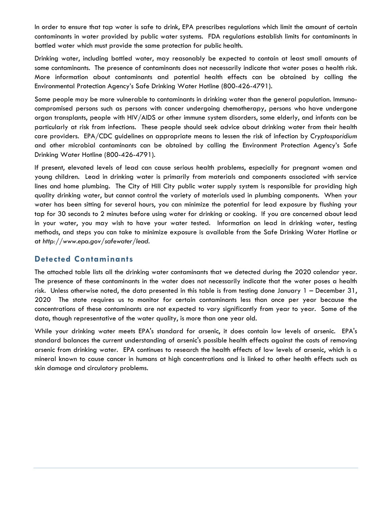In order to ensure that tap water is safe to drink, EPA prescribes regulations which limit the amount of certain contaminants in water provided by public water systems. FDA regulations establish limits for contaminants in bottled water which must provide the same protection for public health.

Drinking water, including bottled water, may reasonably be expected to contain at least small amounts of some contaminants. The presence of contaminants does not necessarily indicate that water poses a health risk. More information about contaminants and potential health effects can be obtained by calling the Environmental Protection Agency's Safe Drinking Water Hotline (800-426-4791).

Some people may be more vulnerable to contaminants in drinking water than the general population. Immunocompromised persons such as persons with cancer undergoing chemotherapy, persons who have undergone organ transplants, people with HIV/AIDS or other immune system disorders, some elderly, and infants can be particularly at risk from infections. These people should seek advice about drinking water from their health care providers. EPA/CDC guidelines on appropriate means to lessen the risk of infection by *Cryptosporidium* and other microbial contaminants can be obtained by calling the Environment Protection Agency's Safe Drinking Water Hotline (800-426-4791).

If present, elevated levels of lead can cause serious health problems, especially for pregnant women and young children. Lead in drinking water is primarily from materials and components associated with service lines and home plumbing. The City of Hill City public water supply system is responsible for providing high quality drinking water, but cannot control the variety of materials used in plumbing components. When your water has been sitting for several hours, you can minimize the potential for lead exposure by flushing your tap for 30 seconds to 2 minutes before using water for drinking or cooking. If you are concerned about lead in your water, you may wish to have your water tested. Information on lead in drinking water, testing methods, and steps you can take to minimize exposure is available from the Safe Drinking Water Hotline or at *http://www.epa.gov/safewater/lead*.

#### **Detected Contaminants**

The attached table lists all the drinking water contaminants that we detected during the 2020 calendar year. The presence of these contaminants in the water does not necessarily indicate that the water poses a health risk. Unless otherwise noted, the data presented in this table is from testing done January 1 – December 31, 2020 The state requires us to monitor for certain contaminants less than once per year because the concentrations of these contaminants are not expected to vary significantly from year to year. Some of the data, though representative of the water quality, is more than one year old.

While your drinking water meets EPA's standard for arsenic, it does contain low levels of arsenic. EPA's standard balances the current understanding of arsenic's possible health effects against the costs of removing arsenic from drinking water. EPA continues to research the health effects of low levels of arsenic, which is a mineral known to cause cancer in humans at high concentrations and is linked to other health effects such as skin damage and circulatory problems.